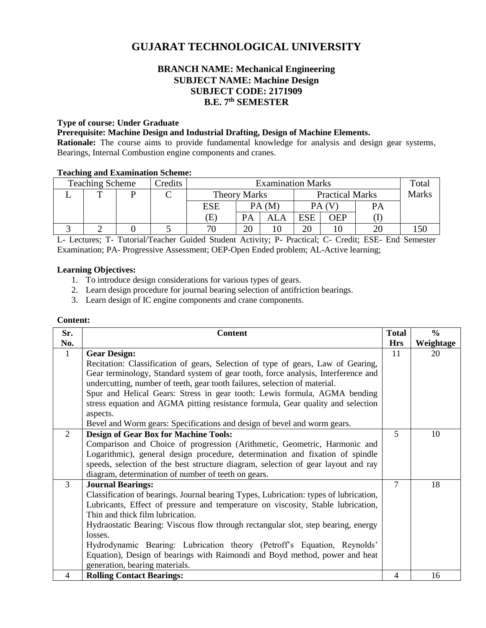# **GUJARAT TECHNOLOGICAL UNIVERSITY**

# **BRANCH NAME: Mechanical Engineering SUBJECT NAME: Machine Design SUBJECT CODE: 2171909 B.E. 7 th SEMESTER**

#### **Type of course: Under Graduate**

#### **Prerequisite: Machine Design and Industrial Drafting, Design of Machine Elements.**

**Rationale:** The course aims to provide fundamental knowledge for analysis and design gear systems, Bearings, Internal Combustion engine components and cranes.

#### **Teaching and Examination Scheme:**

| <b>Teaching Scheme</b> | Credits | <b>Examination Marks</b> |    |                        |            | Total |              |  |
|------------------------|---------|--------------------------|----|------------------------|------------|-------|--------------|--|
| m                      |         | <b>Theory Marks</b>      |    | <b>Practical Marks</b> |            |       | <b>Marks</b> |  |
|                        |         | ESE                      |    | PA (M)                 | PA         |       | PA           |  |
|                        |         | E                        | PA | ALA                    | <b>ESE</b> | OEP   |              |  |
|                        |         | 71                       | 20 | 10                     | 20         |       |              |  |

L- Lectures; T- Tutorial/Teacher Guided Student Activity; P- Practical; C- Credit; ESE- End Semester Examination; PA- Progressive Assessment; OEP-Open Ended problem; AL-Active learning;

#### **Learning Objectives:**

- 1. To introduce design considerations for various types of gears.
- 2. Learn design procedure for journal bearing selection of antifriction bearings.
- 3. Learn design of IC engine components and crane components.

#### **Content:**

| Sr.          | <b>Content</b>                                                                        | <b>Total</b>   | $\frac{0}{0}$ |
|--------------|---------------------------------------------------------------------------------------|----------------|---------------|
| No.          |                                                                                       | <b>Hrs</b>     | Weightage     |
| $\mathbf{1}$ | <b>Gear Design:</b>                                                                   | 11             | 20            |
|              | Recitation: Classification of gears, Selection of type of gears, Law of Gearing,      |                |               |
|              | Gear terminology, Standard system of gear tooth, force analysis, Interference and     |                |               |
|              | undercutting, number of teeth, gear tooth failures, selection of material.            |                |               |
|              | Spur and Helical Gears: Stress in gear tooth: Lewis formula, AGMA bending             |                |               |
|              | stress equation and AGMA pitting resistance formula, Gear quality and selection       |                |               |
|              | aspects.                                                                              |                |               |
|              | Bevel and Worm gears: Specifications and design of bevel and worm gears.              |                |               |
| 2            | <b>Design of Gear Box for Machine Tools:</b>                                          | 5              | 10            |
|              | Comparison and Choice of progression (Arithmetic, Geometric, Harmonic and             |                |               |
|              | Logarithmic), general design procedure, determination and fixation of spindle         |                |               |
|              | speeds, selection of the best structure diagram, selection of gear layout and ray     |                |               |
|              | diagram, determination of number of teeth on gears.                                   |                |               |
| 3            | <b>Journal Bearings:</b>                                                              | $\tau$         | 18            |
|              | Classification of bearings. Journal bearing Types, Lubrication: types of lubrication, |                |               |
|              | Lubricants, Effect of pressure and temperature on viscosity, Stable lubrication,      |                |               |
|              | Thin and thick film lubrication.                                                      |                |               |
|              | Hydraostatic Bearing: Viscous flow through rectangular slot, step bearing, energy     |                |               |
|              | losses.                                                                               |                |               |
|              | Hydrodynamic Bearing: Lubrication theory (Petroff's Equation, Reynolds'               |                |               |
|              | Equation), Design of bearings with Raimondi and Boyd method, power and heat           |                |               |
|              | generation, bearing materials.                                                        |                |               |
| 4            | <b>Rolling Contact Bearings:</b>                                                      | $\overline{4}$ | 16            |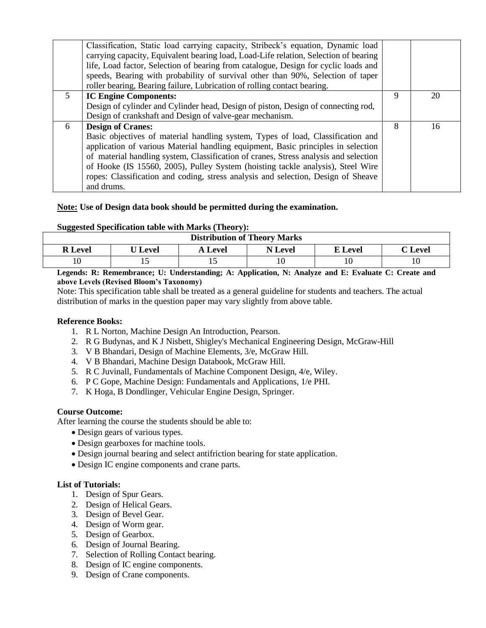|   | Classification, Static load carrying capacity, Stribeck's equation, Dynamic load<br>carrying capacity, Equivalent bearing load, Load-Life relation, Selection of bearing<br>life, Load factor, Selection of bearing from catalogue, Design for cyclic loads and<br>speeds, Bearing with probability of survival other than 90%, Selection of taper<br>roller bearing, Bearing failure, Lubrication of rolling contact bearing. |   |    |
|---|--------------------------------------------------------------------------------------------------------------------------------------------------------------------------------------------------------------------------------------------------------------------------------------------------------------------------------------------------------------------------------------------------------------------------------|---|----|
| 5 | <b>IC Engine Components:</b>                                                                                                                                                                                                                                                                                                                                                                                                   | 9 | 20 |
|   | Design of cylinder and Cylinder head, Design of piston, Design of connecting rod,                                                                                                                                                                                                                                                                                                                                              |   |    |
|   | Design of crankshaft and Design of valve-gear mechanism.                                                                                                                                                                                                                                                                                                                                                                       |   |    |
| 6 | <b>Design of Cranes:</b>                                                                                                                                                                                                                                                                                                                                                                                                       | 8 | 16 |
|   | Basic objectives of material handling system, Types of load, Classification and                                                                                                                                                                                                                                                                                                                                                |   |    |
|   | application of various Material handling equipment, Basic principles in selection                                                                                                                                                                                                                                                                                                                                              |   |    |
|   | of material handling system, Classification of cranes, Stress analysis and selection                                                                                                                                                                                                                                                                                                                                           |   |    |
|   | of Hooke (IS 15560, 2005), Pulley System (hoisting tackle analysis), Steel Wire                                                                                                                                                                                                                                                                                                                                                |   |    |
|   | ropes: Classification and coding, stress analysis and selection, Design of Sheave                                                                                                                                                                                                                                                                                                                                              |   |    |
|   | and drums.                                                                                                                                                                                                                                                                                                                                                                                                                     |   |    |

## **Note: Use of Design data book should be permitted during the examination.**

#### **Suggested Specification table with Marks (Theory):**

| ---<br><b>Distribution of Theory Marks</b> |              |                |                |         |                   |  |  |
|--------------------------------------------|--------------|----------------|----------------|---------|-------------------|--|--|
| <b>R</b> Level                             | <b>Level</b> | <b>A</b> Level | <b>N</b> Level | E Level | $\mathbb C$ Level |  |  |
| 10                                         |              |                |                | 10      |                   |  |  |

#### **Legends: R: Remembrance; U: Understanding; A: Application, N: Analyze and E: Evaluate C: Create and above Levels (Revised Bloom's Taxonomy)**

Note: This specification table shall be treated as a general guideline for students and teachers. The actual distribution of marks in the question paper may vary slightly from above table.

### **Reference Books:**

- 1. R L Norton, Machine Design An Introduction, Pearson.
- 2. R G Budynas, and K J Nisbett, Shigley's Mechanical Engineering Design, McGraw-Hill
- 3. V B Bhandari, Design of Machine Elements, 3/e, McGraw Hill.
- 4. V B Bhandari, Machine Design Databook, McGraw Hill.
- 5. R C Juvinall, Fundamentals of Machine Component Design, 4/e, Wiley.
- 6. P C Gope, Machine Design: Fundamentals and Applications, 1/e PHI.
- 7. K Hoga, B Dondlinger, Vehicular Engine Design, Springer.

#### **Course Outcome:**

After learning the course the students should be able to:

- Design gears of various types.
- Design gearboxes for machine tools.
- Design journal bearing and select antifriction bearing for state application.
- Design IC engine components and crane parts.

#### **List of Tutorials:**

- 1. Design of Spur Gears.
- 2. Design of Helical Gears.
- 3. Design of Bevel Gear.
- 4. Design of Worm gear.
- 5. Design of Gearbox.
- 6. Design of Journal Bearing.
- 7. Selection of Rolling Contact bearing.
- 8. Design of IC engine components.
- 9. Design of Crane components.